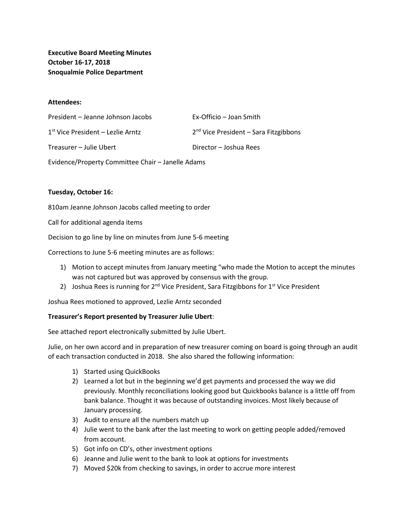**Executive Board Meeting Minutes October 16-17, 2018 Snoqualmie Police Department**

#### **Attendees:**

| President - Jeanne Johnson Jacobs   | Ex-Officio – Joan Smith                 |
|-------------------------------------|-----------------------------------------|
| $1st$ Vice President – Lezlie Arntz | $2nd$ Vice President – Sara Fitzgibbons |
| Treasurer – Julie Ubert             | Director - Joshua Rees                  |

Evidence/Property Committee Chair – Janelle Adams

### **Tuesday, October 16:**

810am Jeanne Johnson Jacobs called meeting to order

Call for additional agenda items

Decision to go line by line on minutes from June 5-6 meeting

Corrections to June 5-6 meeting minutes are as follows:

- 1) Motion to accept minutes from January meeting "who made the Motion to accept the minutes was not captured but was approved by consensus with the group.
- 2) Joshua Rees is running for  $2^{nd}$  Vice President, Sara Fitzgibbons for  $1^{st}$  Vice President

Joshua Rees motioned to approved, Lezlie Arntz seconded

## **Treasurer's Report presented by Treasurer Julie Ubert**:

See attached report electronically submitted by Julie Ubert.

Julie, on her own accord and in preparation of new treasurer coming on board is going through an audit of each transaction conducted in 2018. She also shared the following information:

- 1) Started using QuickBooks
- 2) Learned a lot but in the beginning we'd get payments and processed the way we did previously. Monthly reconciliations looking good but Quickbooks balance is a little off from bank balance. Thought it was because of outstanding invoices. Most likely because of January processing.
- 3) Audit to ensure all the numbers match up
- 4) Julie went to the bank after the last meeting to work on getting people added/removed from account.
- 5) Got info on CD's, other investment options
- 6) Jeanne and Julie went to the bank to look at options for investments
- 7) Moved \$20k from checking to savings, in order to accrue more interest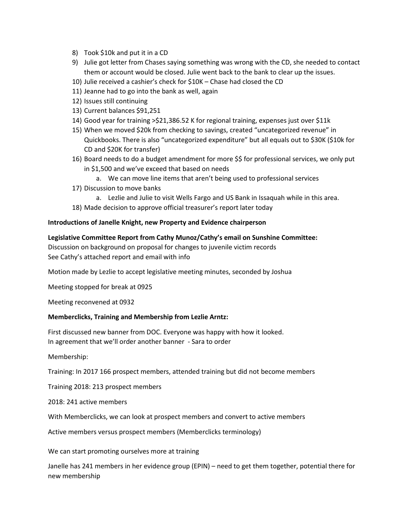- 8) Took \$10k and put it in a CD
- 9) Julie got letter from Chases saying something was wrong with the CD, she needed to contact them or account would be closed. Julie went back to the bank to clear up the issues.
- 10) Julie received a cashier's check for \$10K Chase had closed the CD
- 11) Jeanne had to go into the bank as well, again
- 12) Issues still continuing
- 13) Current balances \$91,251
- 14) Good year for training >\$21,386.52 K for regional training, expenses just over \$11k
- 15) When we moved \$20k from checking to savings, created "uncategorized revenue" in Quickbooks. There is also "uncategorized expenditure" but all equals out to \$30K (\$10k for CD and \$20K for transfer)
- 16) Board needs to do a budget amendment for more \$\$ for professional services, we only put in \$1,500 and we've exceed that based on needs
	- a. We can move line items that aren't being used to professional services
- 17) Discussion to move banks
	- a. Lezlie and Julie to visit Wells Fargo and US Bank in Issaquah while in this area.
- 18) Made decision to approve official treasurer's report later today

## **Introductions of Janelle Knight, new Property and Evidence chairperson**

**Legislative Committee Report from Cathy Munoz/Cathy's email on Sunshine Committee:** Discussion on background on proposal for changes to juvenile victim records See Cathy's attached report and email with info

Motion made by Lezlie to accept legislative meeting minutes, seconded by Joshua

Meeting stopped for break at 0925

Meeting reconvened at 0932

## **Memberclicks, Training and Membership from Lezlie Arntz:**

First discussed new banner from DOC. Everyone was happy with how it looked. In agreement that we'll order another banner - Sara to order

Membership:

Training: In 2017 166 prospect members, attended training but did not become members

Training 2018: 213 prospect members

2018: 241 active members

With Memberclicks, we can look at prospect members and convert to active members

Active members versus prospect members (Memberclicks terminology)

We can start promoting ourselves more at training

Janelle has 241 members in her evidence group (EPIN) – need to get them together, potential there for new membership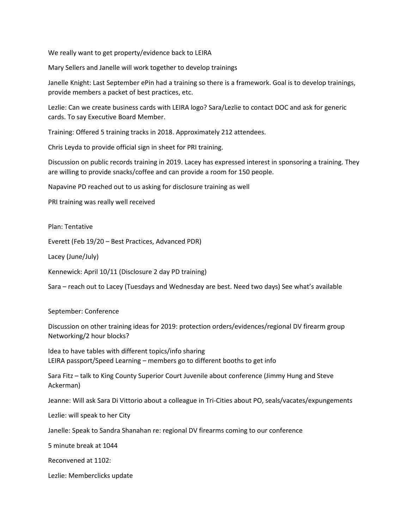We really want to get property/evidence back to LEIRA

Mary Sellers and Janelle will work together to develop trainings

Janelle Knight: Last September ePin had a training so there is a framework. Goal is to develop trainings, provide members a packet of best practices, etc.

Lezlie: Can we create business cards with LEIRA logo? Sara/Lezlie to contact DOC and ask for generic cards. To say Executive Board Member.

Training: Offered 5 training tracks in 2018. Approximately 212 attendees.

Chris Leyda to provide official sign in sheet for PRI training.

Discussion on public records training in 2019. Lacey has expressed interest in sponsoring a training. They are willing to provide snacks/coffee and can provide a room for 150 people.

Napavine PD reached out to us asking for disclosure training as well

PRI training was really well received

Plan: Tentative

Everett (Feb 19/20 – Best Practices, Advanced PDR)

Lacey (June/July)

Kennewick: April 10/11 (Disclosure 2 day PD training)

Sara – reach out to Lacey (Tuesdays and Wednesday are best. Need two days) See what's available

September: Conference

Discussion on other training ideas for 2019: protection orders/evidences/regional DV firearm group Networking/2 hour blocks?

Idea to have tables with different topics/info sharing LEIRA passport/Speed Learning – members go to different booths to get info

Sara Fitz – talk to King County Superior Court Juvenile about conference (Jimmy Hung and Steve Ackerman)

Jeanne: Will ask Sara Di Vittorio about a colleague in Tri-Cities about PO, seals/vacates/expungements

Lezlie: will speak to her City

Janelle: Speak to Sandra Shanahan re: regional DV firearms coming to our conference

5 minute break at 1044

Reconvened at 1102:

Lezlie: Memberclicks update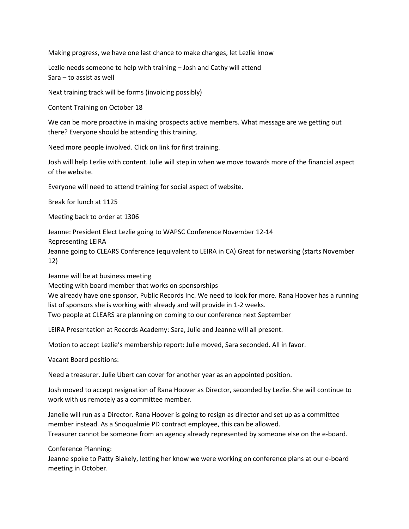Making progress, we have one last chance to make changes, let Lezlie know

Lezlie needs someone to help with training – Josh and Cathy will attend Sara – to assist as well

Next training track will be forms (invoicing possibly)

Content Training on October 18

We can be more proactive in making prospects active members. What message are we getting out there? Everyone should be attending this training.

Need more people involved. Click on link for first training.

Josh will help Lezlie with content. Julie will step in when we move towards more of the financial aspect of the website.

Everyone will need to attend training for social aspect of website.

Break for lunch at 1125

Meeting back to order at 1306

Jeanne: President Elect Lezlie going to WAPSC Conference November 12-14

Representing LEIRA

Jeanne going to CLEARS Conference (equivalent to LEIRA in CA) Great for networking (starts November 12)

Jeanne will be at business meeting

Meeting with board member that works on sponsorships

We already have one sponsor, Public Records Inc. We need to look for more. Rana Hoover has a running list of sponsors she is working with already and will provide in 1-2 weeks.

Two people at CLEARS are planning on coming to our conference next September

LEIRA Presentation at Records Academy: Sara, Julie and Jeanne will all present.

Motion to accept Lezlie's membership report: Julie moved, Sara seconded. All in favor.

Vacant Board positions:

Need a treasurer. Julie Ubert can cover for another year as an appointed position.

Josh moved to accept resignation of Rana Hoover as Director, seconded by Lezlie. She will continue to work with us remotely as a committee member.

Janelle will run as a Director. Rana Hoover is going to resign as director and set up as a committee member instead. As a Snoqualmie PD contract employee, this can be allowed. Treasurer cannot be someone from an agency already represented by someone else on the e-board.

Conference Planning:

Jeanne spoke to Patty Blakely, letting her know we were working on conference plans at our e-board meeting in October.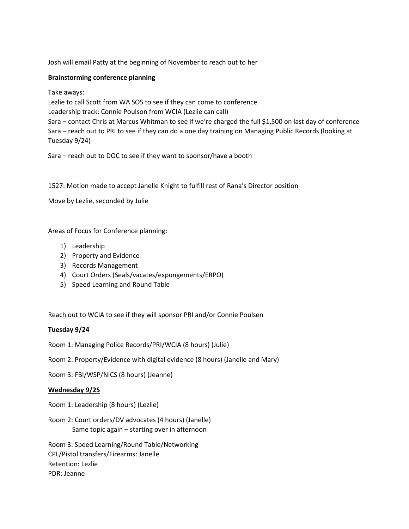Josh will email Patty at the beginning of November to reach out to her

# **Brainstorming conference planning**

Take aways:

Lezlie to call Scott from WA SOS to see if they can come to conference Leadership track: Connie Poulson from WCIA (Lezlie can call) Sara – contact Chris at Marcus Whitman to see if we're charged the full \$1,500 on last day of conference Sara – reach out to PRI to see if they can do a one day training on Managing Public Records (looking at Tuesday 9/24)

Sara – reach out to DOC to see if they want to sponsor/have a booth

1527: Motion made to accept Janelle Knight to fulfill rest of Rana's Director position

Move by Lezlie, seconded by Julie

Areas of Focus for Conference planning:

- 1) Leadership
- 2) Property and Evidence
- 3) Records Management
- 4) Court Orders (Seals/vacates/expungements/ERPO)
- 5) Speed Learning and Round Table

Reach out to WCIA to see if they will sponsor PRI and/or Connie Poulsen

## **Tuesday 9/24**

Room 1: Managing Police Records/PRI/WCIA (8 hours) (Julie)

Room 2: Property/Evidence with digital evidence (8 hours) (Janelle and Mary)

Room 3: FBI/WSP/NICS (8 hours) (Jeanne)

## **Wednesday 9/25**

Room 1: Leadership (8 hours) (Lezlie)

Room 2: Court orders/DV advocates (4 hours) (Janelle) Same topic again – starting over in afternoon

Room 3: Speed Learning/Round Table/Networking CPL/Pistol transfers/Firearms: Janelle Retention: Lezlie PDR: Jeanne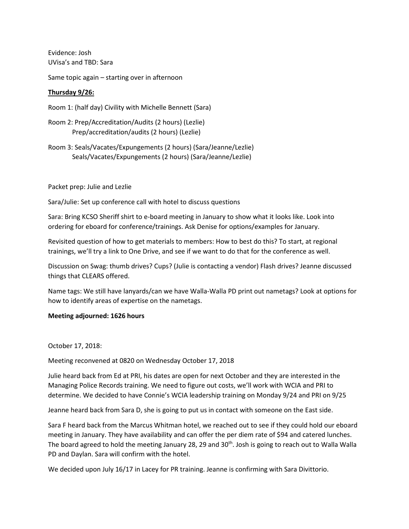Evidence: Josh UVisa's and TBD: Sara

Same topic again – starting over in afternoon

# **Thursday 9/26:**

Room 1: (half day) Civility with Michelle Bennett (Sara)

Room 2: Prep/Accreditation/Audits (2 hours) (Lezlie) Prep/accreditation/audits (2 hours) (Lezlie)

Room 3: Seals/Vacates/Expungements (2 hours) (Sara/Jeanne/Lezlie) Seals/Vacates/Expungements (2 hours) (Sara/Jeanne/Lezlie)

Packet prep: Julie and Lezlie

Sara/Julie: Set up conference call with hotel to discuss questions

Sara: Bring KCSO Sheriff shirt to e-board meeting in January to show what it looks like. Look into ordering for eboard for conference/trainings. Ask Denise for options/examples for January.

Revisited question of how to get materials to members: How to best do this? To start, at regional trainings, we'll try a link to One Drive, and see if we want to do that for the conference as well.

Discussion on Swag: thumb drives? Cups? (Julie is contacting a vendor) Flash drives? Jeanne discussed things that CLEARS offered.

Name tags: We still have lanyards/can we have Walla-Walla PD print out nametags? Look at options for how to identify areas of expertise on the nametags.

#### **Meeting adjourned: 1626 hours**

October 17, 2018:

Meeting reconvened at 0820 on Wednesday October 17, 2018

Julie heard back from Ed at PRI, his dates are open for next October and they are interested in the Managing Police Records training. We need to figure out costs, we'll work with WCIA and PRI to determine. We decided to have Connie's WCIA leadership training on Monday 9/24 and PRI on 9/25

Jeanne heard back from Sara D, she is going to put us in contact with someone on the East side.

Sara F heard back from the Marcus Whitman hotel, we reached out to see if they could hold our eboard meeting in January. They have availability and can offer the per diem rate of \$94 and catered lunches. The board agreed to hold the meeting January 28, 29 and 30<sup>th</sup>. Josh is going to reach out to Walla Walla PD and Daylan. Sara will confirm with the hotel.

We decided upon July 16/17 in Lacey for PR training. Jeanne is confirming with Sara Divittorio.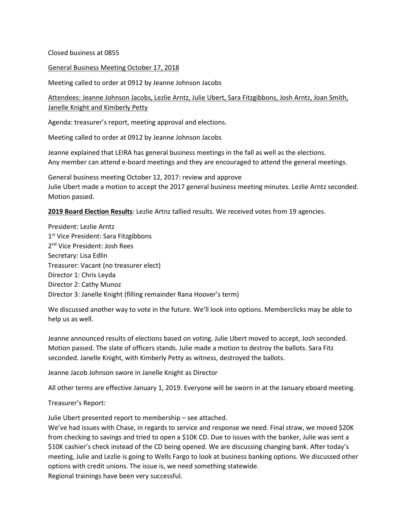Closed business at 0855

General Business Meeting October 17, 2018

Meeting called to order at 0912 by Jeanne Johnson Jacobs

Attendees: Jeanne Johnson Jacobs, Lezlie Arntz, Julie Ubert, Sara Fitzgibbons, Josh Arntz, Joan Smith, Janelle Knight and Kimberly Petty

Agenda: treasurer's report, meeting approval and elections.

Meeting called to order at 0912 by Jeanne Johnson Jacobs

Jeanne explained that LEIRA has general business meetings in the fall as well as the elections. Any member can attend e-board meetings and they are encouraged to attend the general meetings.

General business meeting October 12, 2017: review and approve Julie Ubert made a motion to accept the 2017 general business meeting minutes. Lezlie Arntz seconded. Motion passed.

**2019 Board Election Results**: Lezlie Artnz tallied results. We received votes from 19 agencies.

President: Lezlie Arntz 1<sup>st</sup> Vice President: Sara Fitzgibbons 2<sup>nd</sup> Vice President: Josh Rees Secretary: Lisa Edlin Treasurer: Vacant (no treasurer elect) Director 1: Chris Leyda Director 2: Cathy Munoz Director 3: Janelle Knight (filling remainder Rana Hoover's term)

We discussed another way to vote in the future. We'll look into options. Memberclicks may be able to help us as well.

Jeanne announced results of elections based on voting. Julie Ubert moved to accept, Josh seconded. Motion passed. The slate of officers stands. Julie made a motion to destroy the ballots. Sara Fitz seconded. Janelle Knight, with Kimberly Petty as witness, destroyed the ballots.

Jeanne Jacob Johnson swore in Janelle Knight as Director

All other terms are effective January 1, 2019. Everyone will be sworn in at the January eboard meeting.

Treasurer's Report:

Julie Ubert presented report to membership – see attached.

We've had issues with Chase, in regards to service and response we need. Final straw, we moved \$20K from checking to savings and tried to open a \$10K CD. Due to issues with the banker, Julie was sent a \$10K cashier's check instead of the CD being opened. We are discussing changing bank. After today's meeting, Julie and Lezlie is going to Wells Fargo to look at business banking options. We discussed other options with credit unions. The issue is, we need something statewide. Regional trainings have been very successful.